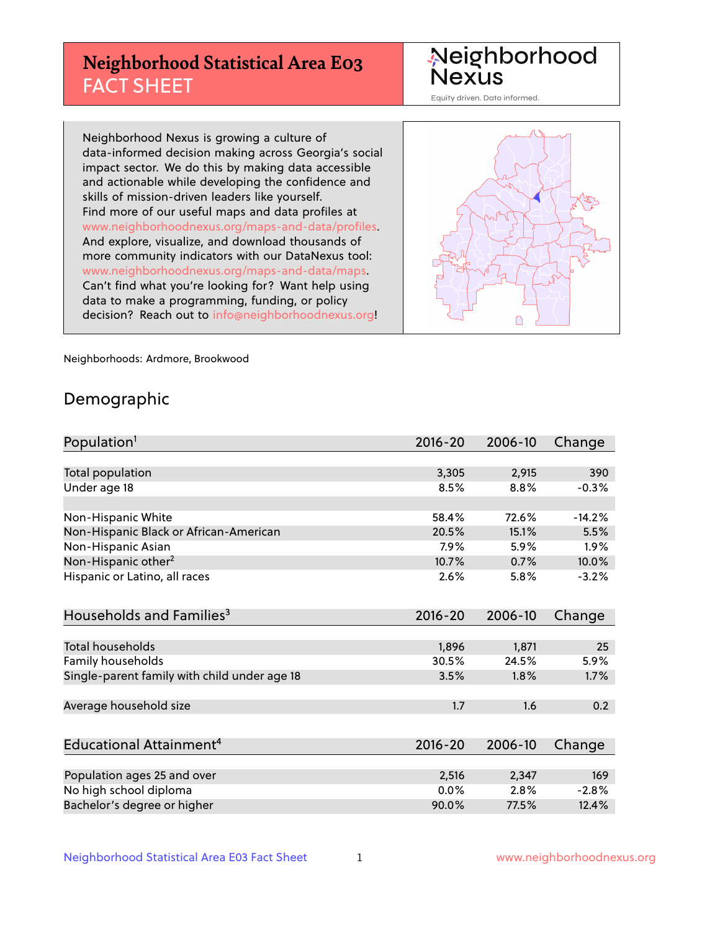# **Neighborhood Statistical Area E03** FACT SHEET

Neighborhood Nexus

Equity driven. Data informed.

Neighborhood Nexus is growing a culture of data-informed decision making across Georgia's social impact sector. We do this by making data accessible and actionable while developing the confidence and skills of mission-driven leaders like yourself. Find more of our useful maps and data profiles at www.neighborhoodnexus.org/maps-and-data/profiles. And explore, visualize, and download thousands of more community indicators with our DataNexus tool: www.neighborhoodnexus.org/maps-and-data/maps. Can't find what you're looking for? Want help using data to make a programming, funding, or policy decision? Reach out to [info@neighborhoodnexus.org!](mailto:info@neighborhoodnexus.org)



Neighborhoods: Ardmore, Brookwood

### Demographic

| Population <sup>1</sup>                      | $2016 - 20$ | 2006-10 | Change   |
|----------------------------------------------|-------------|---------|----------|
|                                              |             |         |          |
| Total population                             | 3,305       | 2,915   | 390      |
| Under age 18                                 | 8.5%        | 8.8%    | $-0.3%$  |
|                                              |             |         |          |
| Non-Hispanic White                           | 58.4%       | 72.6%   | $-14.2%$ |
| Non-Hispanic Black or African-American       | 20.5%       | 15.1%   | 5.5%     |
| Non-Hispanic Asian                           | 7.9%        | 5.9%    | 1.9%     |
| Non-Hispanic other <sup>2</sup>              | 10.7%       | 0.7%    | 10.0%    |
| Hispanic or Latino, all races                | 2.6%        | 5.8%    | $-3.2%$  |
|                                              |             |         |          |
| Households and Families <sup>3</sup>         | $2016 - 20$ | 2006-10 | Change   |
|                                              |             |         |          |
| Total households                             | 1,896       | 1,871   | 25       |
| <b>Family households</b>                     | 30.5%       | 24.5%   | 5.9%     |
| Single-parent family with child under age 18 | 3.5%        | 1.8%    | 1.7%     |
|                                              |             |         |          |
| Average household size                       | 1.7         | 1.6     | 0.2      |
|                                              |             |         |          |
| Educational Attainment <sup>4</sup>          | $2016 - 20$ | 2006-10 | Change   |
|                                              |             |         |          |
| Population ages 25 and over                  | 2,516       | 2,347   | 169      |
| No high school diploma                       | 0.0%        | 2.8%    | $-2.8%$  |
| Bachelor's degree or higher                  | 90.0%       | 77.5%   | 12.4%    |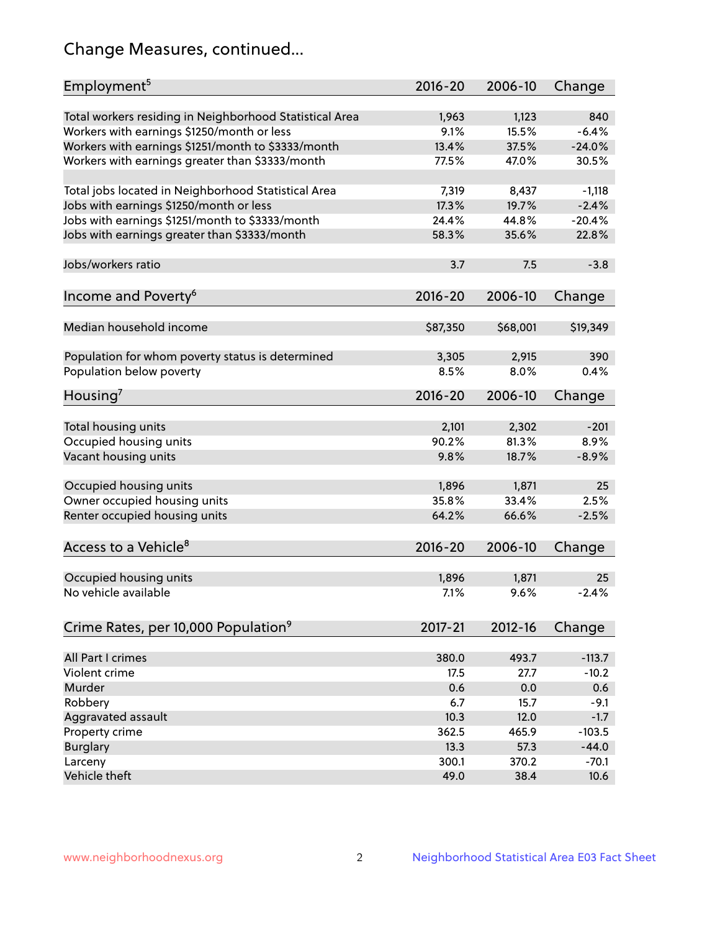# Change Measures, continued...

| Employment <sup>5</sup>                                 | 2016-20     | 2006-10  | Change   |
|---------------------------------------------------------|-------------|----------|----------|
| Total workers residing in Neighborhood Statistical Area | 1,963       | 1,123    | 840      |
| Workers with earnings \$1250/month or less              | 9.1%        | 15.5%    | $-6.4%$  |
| Workers with earnings \$1251/month to \$3333/month      | 13.4%       | 37.5%    | $-24.0%$ |
| Workers with earnings greater than \$3333/month         | 77.5%       | 47.0%    | 30.5%    |
|                                                         |             |          |          |
| Total jobs located in Neighborhood Statistical Area     | 7,319       | 8,437    | $-1,118$ |
| Jobs with earnings \$1250/month or less                 | 17.3%       | 19.7%    | $-2.4%$  |
| Jobs with earnings \$1251/month to \$3333/month         | 24.4%       | 44.8%    | $-20.4%$ |
| Jobs with earnings greater than \$3333/month            | 58.3%       | 35.6%    | 22.8%    |
|                                                         |             |          |          |
| Jobs/workers ratio                                      | 3.7         | 7.5      | $-3.8$   |
|                                                         |             |          |          |
| Income and Poverty <sup>6</sup>                         | 2016-20     | 2006-10  | Change   |
|                                                         |             |          |          |
| Median household income                                 | \$87,350    | \$68,001 | \$19,349 |
|                                                         |             |          |          |
| Population for whom poverty status is determined        | 3,305       | 2,915    | 390      |
| Population below poverty                                | 8.5%        | 8.0%     | 0.4%     |
|                                                         |             |          |          |
| Housing <sup>7</sup>                                    | 2016-20     | 2006-10  | Change   |
|                                                         |             |          |          |
| Total housing units                                     | 2,101       | 2,302    | $-201$   |
| Occupied housing units                                  | 90.2%       | 81.3%    | 8.9%     |
| Vacant housing units                                    | 9.8%        | 18.7%    | $-8.9%$  |
|                                                         |             |          |          |
| Occupied housing units                                  | 1,896       | 1,871    | 25       |
| Owner occupied housing units                            | 35.8%       | 33.4%    | 2.5%     |
| Renter occupied housing units                           | 64.2%       | 66.6%    | $-2.5%$  |
|                                                         |             |          |          |
| Access to a Vehicle <sup>8</sup>                        | $2016 - 20$ | 2006-10  | Change   |
|                                                         |             |          |          |
| Occupied housing units                                  | 1,896       | 1,871    | 25       |
| No vehicle available                                    | 7.1%        | 9.6%     | $-2.4%$  |
|                                                         |             |          |          |
| Crime Rates, per 10,000 Population <sup>9</sup>         | 2017-21     | 2012-16  | Change   |
|                                                         |             |          |          |
| All Part I crimes                                       | 380.0       | 493.7    | $-113.7$ |
| Violent crime                                           | 17.5        | 27.7     | $-10.2$  |
| Murder                                                  | 0.6         | 0.0      | 0.6      |
| Robbery                                                 | 6.7         | 15.7     | $-9.1$   |
| Aggravated assault                                      | 10.3        | 12.0     | $-1.7$   |
| Property crime                                          | 362.5       | 465.9    | $-103.5$ |
| <b>Burglary</b>                                         | 13.3        | 57.3     | $-44.0$  |
| Larceny                                                 | 300.1       | 370.2    | $-70.1$  |
| Vehicle theft                                           | 49.0        | 38.4     | 10.6     |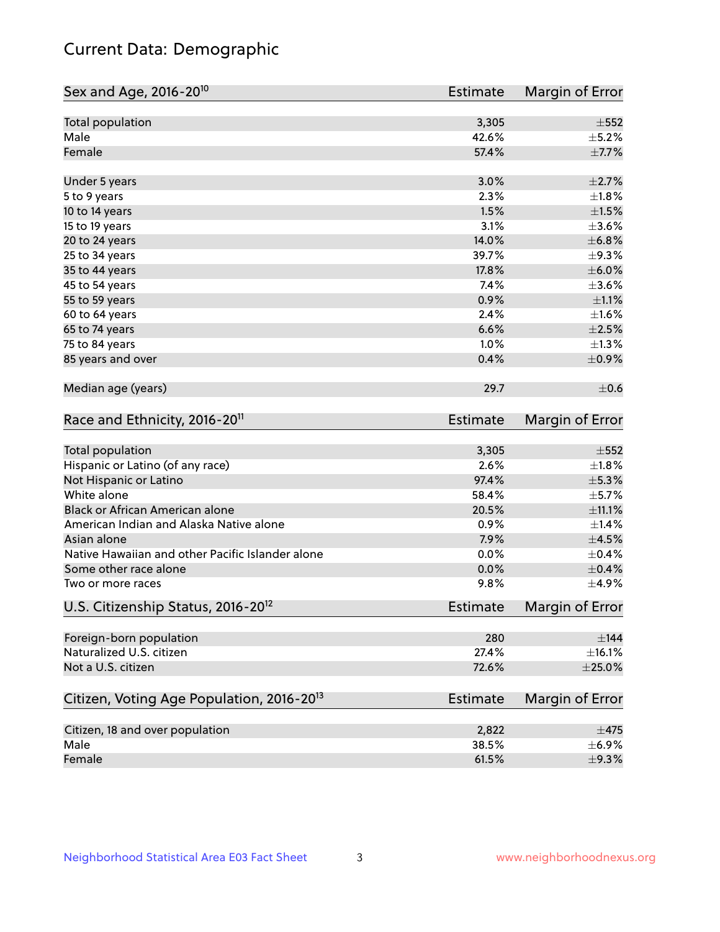# Current Data: Demographic

| Sex and Age, 2016-20 <sup>10</sup>                    | <b>Estimate</b> | Margin of Error |
|-------------------------------------------------------|-----------------|-----------------|
| Total population                                      | 3,305           | $\pm$ 552       |
| Male                                                  | 42.6%           | $\pm$ 5.2%      |
| Female                                                | 57.4%           | $\pm$ 7.7%      |
| Under 5 years                                         | 3.0%            | $\pm 2.7\%$     |
| 5 to 9 years                                          | 2.3%            | $\pm1.8\%$      |
| 10 to 14 years                                        | 1.5%            | $\pm 1.5\%$     |
| 15 to 19 years                                        | 3.1%            | $\pm$ 3.6%      |
| 20 to 24 years                                        | 14.0%           | $\pm$ 6.8%      |
| 25 to 34 years                                        | 39.7%           | $\pm$ 9.3%      |
| 35 to 44 years                                        | 17.8%           | $\pm$ 6.0%      |
| 45 to 54 years                                        | 7.4%            | $\pm 3.6\%$     |
| 55 to 59 years                                        | 0.9%            | $\pm 1.1\%$     |
| 60 to 64 years                                        | 2.4%            | $\pm1.6\%$      |
| 65 to 74 years                                        | 6.6%            | $\pm 2.5\%$     |
| 75 to 84 years                                        | 1.0%            | $\pm$ 1.3%      |
| 85 years and over                                     | 0.4%            | $\pm$ 0.9%      |
| Median age (years)                                    | 29.7            | $\pm$ 0.6       |
| Race and Ethnicity, 2016-20 <sup>11</sup>             | <b>Estimate</b> | Margin of Error |
| Total population                                      | 3,305           | $\pm$ 552       |
| Hispanic or Latino (of any race)                      | 2.6%            | $\pm1.8\%$      |
| Not Hispanic or Latino                                | 97.4%           | ±5.3%           |
| White alone                                           | 58.4%           | $\pm$ 5.7%      |
| Black or African American alone                       | 20.5%           | $\pm$ 11.1%     |
| American Indian and Alaska Native alone               | 0.9%            | $\pm$ 1.4%      |
| Asian alone                                           | 7.9%            | $\pm 4.5\%$     |
| Native Hawaiian and other Pacific Islander alone      | 0.0%            | $\pm$ 0.4%      |
| Some other race alone                                 | 0.0%            | $\pm$ 0.4%      |
| Two or more races                                     | 9.8%            | ±4.9%           |
| U.S. Citizenship Status, 2016-20 <sup>12</sup>        | <b>Estimate</b> | Margin of Error |
| Foreign-born population                               | 280             | $\pm$ 144       |
| Naturalized U.S. citizen                              | 27.4%           | ±16.1%          |
| Not a U.S. citizen                                    | 72.6%           | $\pm 25.0\%$    |
| Citizen, Voting Age Population, 2016-20 <sup>13</sup> | Estimate        | Margin of Error |
| Citizen, 18 and over population                       | 2,822           | $\pm$ 475       |
| Male                                                  | 38.5%           | $\pm$ 6.9%      |
| Female                                                | 61.5%           | ±9.3%           |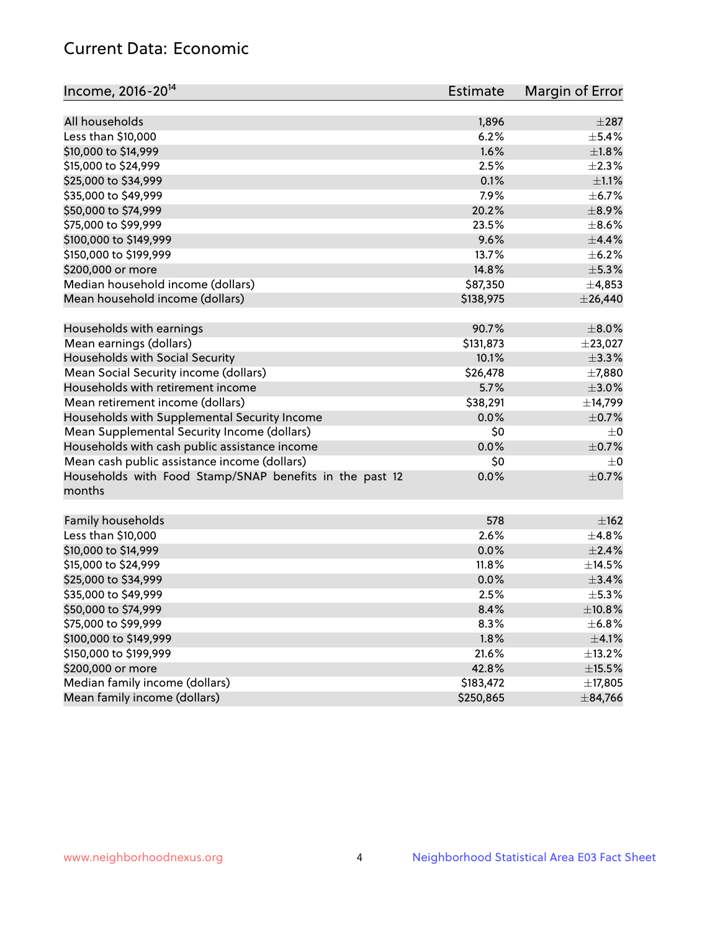# Current Data: Economic

| Income, 2016-20 <sup>14</sup>                                     | <b>Estimate</b> | Margin of Error |
|-------------------------------------------------------------------|-----------------|-----------------|
| All households                                                    |                 | $\pm 287$       |
| Less than \$10,000                                                | 1,896<br>6.2%   | $\pm$ 5.4%      |
|                                                                   | 1.6%            | $\pm1.8\%$      |
| \$10,000 to \$14,999                                              |                 |                 |
| \$15,000 to \$24,999                                              | 2.5%            | $\pm 2.3\%$     |
| \$25,000 to \$34,999                                              | 0.1%            | $\pm 1.1\%$     |
| \$35,000 to \$49,999                                              | 7.9%            | $\pm$ 6.7%      |
| \$50,000 to \$74,999                                              | 20.2%           | $\pm$ 8.9%      |
| \$75,000 to \$99,999                                              | 23.5%           | $\pm$ 8.6%      |
| \$100,000 to \$149,999                                            | 9.6%            | $\pm$ 4.4%      |
| \$150,000 to \$199,999                                            | 13.7%           | $\pm$ 6.2%      |
| \$200,000 or more                                                 | 14.8%           | $\pm$ 5.3%      |
| Median household income (dollars)                                 | \$87,350        | ±4,853          |
| Mean household income (dollars)                                   | \$138,975       | $±$ 26,440      |
| Households with earnings                                          | 90.7%           | $\pm 8.0\%$     |
| Mean earnings (dollars)                                           | \$131,873       | ±23,027         |
| Households with Social Security                                   | 10.1%           | ±3.3%           |
| Mean Social Security income (dollars)                             | \$26,478        | $\pm$ 7,880     |
| Households with retirement income                                 | 5.7%            | $\pm 3.0\%$     |
| Mean retirement income (dollars)                                  | \$38,291        | ±14,799         |
| Households with Supplemental Security Income                      | 0.0%            | $\pm$ 0.7%      |
| Mean Supplemental Security Income (dollars)                       | \$0             | $\pm$ 0         |
| Households with cash public assistance income                     | 0.0%            | $\pm$ 0.7%      |
| Mean cash public assistance income (dollars)                      | \$0             | $\pm$ 0         |
| Households with Food Stamp/SNAP benefits in the past 12<br>months | 0.0%            | $\pm$ 0.7%      |
| Family households                                                 | 578             | $\pm$ 162       |
| Less than \$10,000                                                | 2.6%            | ±4.8%           |
| \$10,000 to \$14,999                                              | 0.0%            | $\pm 2.4\%$     |
| \$15,000 to \$24,999                                              | 11.8%           | $\pm$ 14.5%     |
| \$25,000 to \$34,999                                              | 0.0%            | ±3.4%           |
| \$35,000 to \$49,999                                              | 2.5%            | $\pm$ 5.3%      |
| \$50,000 to \$74,999                                              | 8.4%            | ±10.8%          |
| \$75,000 to \$99,999                                              | 8.3%            | $\pm$ 6.8%      |
| \$100,000 to \$149,999                                            | 1.8%            | $\pm$ 4.1%      |
| \$150,000 to \$199,999                                            | 21.6%           | $\pm$ 13.2%     |
| \$200,000 or more                                                 | 42.8%           | $\pm$ 15.5%     |
| Median family income (dollars)                                    | \$183,472       | ±17,805         |
| Mean family income (dollars)                                      | \$250,865       | $\pm$ 84,766    |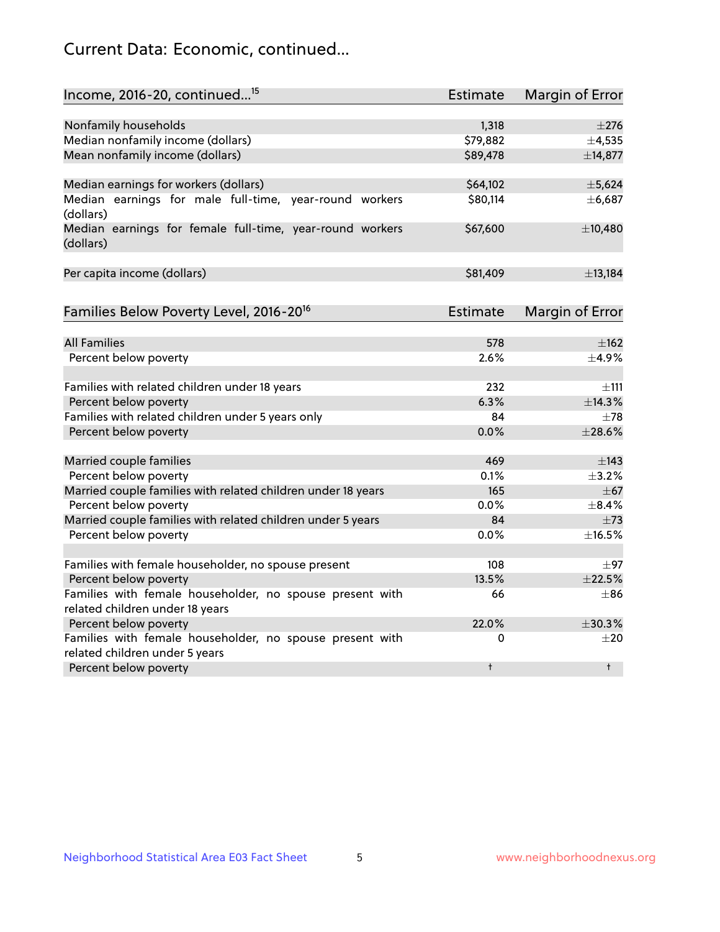# Current Data: Economic, continued...

| Income, 2016-20, continued <sup>15</sup>                              | <b>Estimate</b> | Margin of Error        |
|-----------------------------------------------------------------------|-----------------|------------------------|
|                                                                       |                 |                        |
| Nonfamily households                                                  | 1,318           | $\pm 276$              |
| Median nonfamily income (dollars)                                     | \$79,882        | ±4,535                 |
| Mean nonfamily income (dollars)                                       | \$89,478        | ±14,877                |
| Median earnings for workers (dollars)                                 | \$64,102        | ±5,624                 |
| Median earnings for male full-time, year-round workers<br>(dollars)   | \$80,114        | ±6,687                 |
| Median earnings for female full-time, year-round workers<br>(dollars) | \$67,600        | ±10,480                |
| Per capita income (dollars)                                           | \$81,409        | ±13,184                |
| Families Below Poverty Level, 2016-20 <sup>16</sup>                   | Estimate        | <b>Margin of Error</b> |
|                                                                       |                 |                        |
| <b>All Families</b>                                                   | 578             | $\pm$ 162              |
| Percent below poverty                                                 | 2.6%            | ±4.9%                  |
| Families with related children under 18 years                         | 232             | $\pm$ 111              |
| Percent below poverty                                                 | 6.3%            | ±14.3%                 |
| Families with related children under 5 years only                     | 84              | $\pm$ 78               |
| Percent below poverty                                                 | 0.0%            | ±28.6%                 |
| Married couple families                                               | 469             | $\pm$ 143              |
| Percent below poverty                                                 | 0.1%            | $\pm$ 3.2%             |
| Married couple families with related children under 18 years          | 165             | $\pm$ 67               |
| Percent below poverty                                                 | $0.0\%$         | ±8.4%                  |
| Married couple families with related children under 5 years           | 84              | $\pm 73$               |
| Percent below poverty                                                 | $0.0\%$         | ±16.5%                 |
| Families with female householder, no spouse present                   | 108             | $\pm$ 97               |
| Percent below poverty                                                 | 13.5%           | ±22.5%                 |
| Families with female householder, no spouse present with              | 66              | $\pm 86$               |
| related children under 18 years                                       |                 |                        |
| Percent below poverty                                                 | 22.0%           | ±30.3%                 |
| Families with female householder, no spouse present with              | 0               | $\pm 20$               |
| related children under 5 years                                        |                 |                        |
| Percent below poverty                                                 | t               | $\ddagger$             |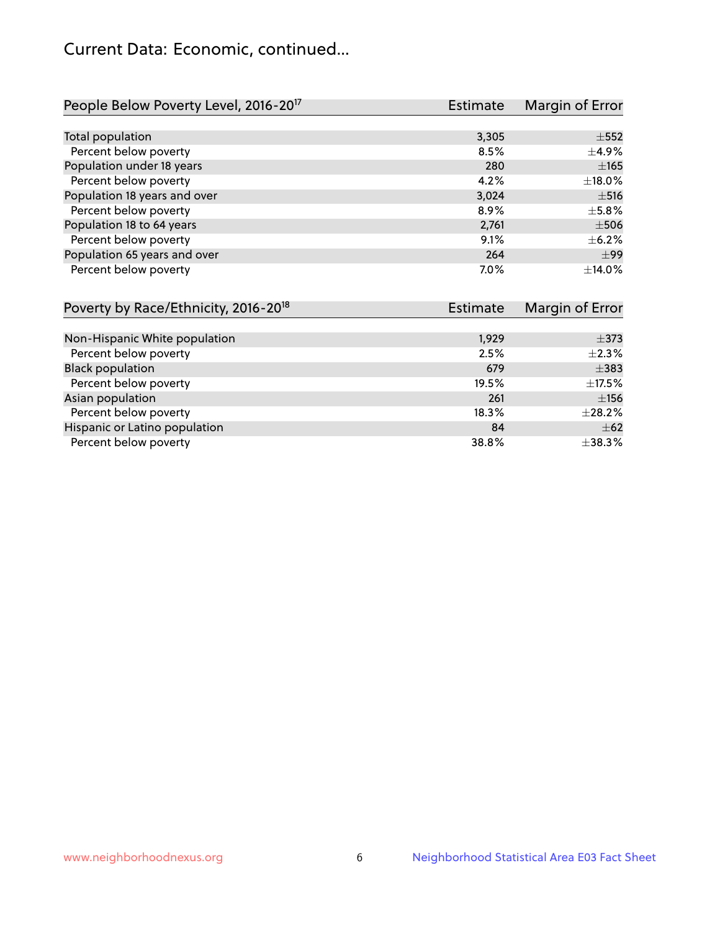# Current Data: Economic, continued...

| People Below Poverty Level, 2016-20 <sup>17</sup> | <b>Estimate</b> | Margin of Error |
|---------------------------------------------------|-----------------|-----------------|
|                                                   |                 |                 |
| Total population                                  | 3,305           | $\pm$ 552       |
| Percent below poverty                             | 8.5%            | $\pm$ 4.9%      |
| Population under 18 years                         | 280             | $\pm 165$       |
| Percent below poverty                             | 4.2%            | ±18.0%          |
| Population 18 years and over                      | 3,024           | $\pm$ 516       |
| Percent below poverty                             | 8.9%            | $\pm$ 5.8%      |
| Population 18 to 64 years                         | 2,761           | $\pm$ 506       |
| Percent below poverty                             | 9.1%            | $+6.2%$         |
| Population 65 years and over                      | 264             | $+99$           |
| Percent below poverty                             | 7.0%            | $+14.0%$        |

| Poverty by Race/Ethnicity, 2016-20 <sup>18</sup> | <b>Estimate</b> | Margin of Error |  |
|--------------------------------------------------|-----------------|-----------------|--|
|                                                  |                 |                 |  |
| Non-Hispanic White population                    | 1,929           | $\pm$ 373       |  |
| Percent below poverty                            | 2.5%            | $\pm 2.3\%$     |  |
| <b>Black population</b>                          | 679             | $\pm$ 383       |  |
| Percent below poverty                            | 19.5%           | $\pm$ 17.5%     |  |
| Asian population                                 | 261             | $\pm$ 156       |  |
| Percent below poverty                            | 18.3%           | $\pm 28.2\%$    |  |
| Hispanic or Latino population                    | 84              | $\pm$ 62        |  |
| Percent below poverty                            | 38.8%           | ±38.3%          |  |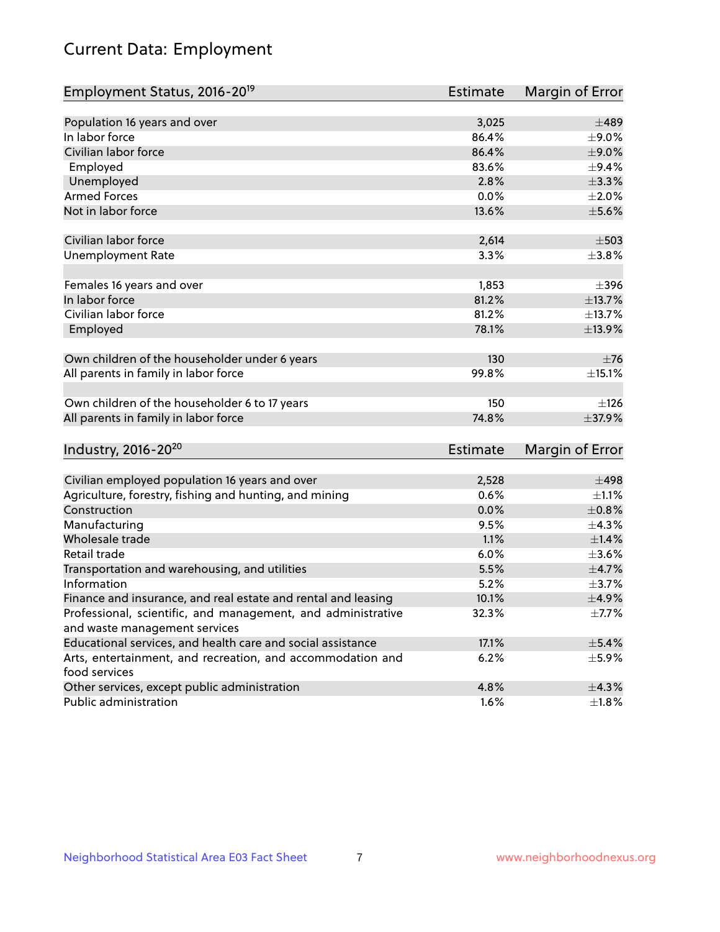# Current Data: Employment

| Employment Status, 2016-20 <sup>19</sup>                                    | <b>Estimate</b> | Margin of Error |
|-----------------------------------------------------------------------------|-----------------|-----------------|
|                                                                             |                 |                 |
| Population 16 years and over                                                | 3,025           | $\pm 489$       |
| In labor force                                                              | 86.4%           | $\pm$ 9.0%      |
| Civilian labor force                                                        | 86.4%           | $\pm$ 9.0%      |
| Employed                                                                    | 83.6%           | $\pm$ 9.4%      |
| Unemployed                                                                  | 2.8%            | $\pm$ 3.3%      |
| <b>Armed Forces</b>                                                         | 0.0%            | $\pm 2.0\%$     |
| Not in labor force                                                          | 13.6%           | $\pm$ 5.6%      |
| Civilian labor force                                                        | 2,614           | $\pm$ 503       |
| <b>Unemployment Rate</b>                                                    | 3.3%            | $\pm$ 3.8%      |
| Females 16 years and over                                                   | 1,853           | $\pm$ 396       |
| In labor force                                                              | 81.2%           | ±13.7%          |
| Civilian labor force                                                        | 81.2%           | ±13.7%          |
| Employed                                                                    | 78.1%           | ±13.9%          |
| Own children of the householder under 6 years                               | 130             | $\pm$ 76        |
| All parents in family in labor force                                        | 99.8%           | ±15.1%          |
| Own children of the householder 6 to 17 years                               | 150             | ±126            |
| All parents in family in labor force                                        | 74.8%           | ±37.9%          |
| Industry, 2016-20 <sup>20</sup>                                             | <b>Estimate</b> | Margin of Error |
|                                                                             |                 |                 |
| Civilian employed population 16 years and over                              | 2,528           | ±498            |
| Agriculture, forestry, fishing and hunting, and mining                      | 0.6%            | $\pm 1.1\%$     |
| Construction                                                                | 0.0%            | $\pm 0.8\%$     |
| Manufacturing                                                               | 9.5%            | ±4.3%           |
| Wholesale trade                                                             | 1.1%            | $\pm1.4\%$      |
| Retail trade                                                                | 6.0%            | $\pm 3.6\%$     |
| Transportation and warehousing, and utilities                               | 5.5%            | $\pm$ 4.7%      |
| Information                                                                 | 5.2%            | $\pm$ 3.7%      |
| Finance and insurance, and real estate and rental and leasing               | 10.1%           | $\pm$ 4.9%      |
| Professional, scientific, and management, and administrative                | 32.3%           | $\pm$ 7.7%      |
| and waste management services                                               |                 |                 |
| Educational services, and health care and social assistance                 | 17.1%           | $\pm$ 5.4%      |
| Arts, entertainment, and recreation, and accommodation and<br>food services | 6.2%            | $\pm$ 5.9%      |
| Other services, except public administration                                | 4.8%            | ±4.3%           |
| Public administration                                                       | 1.6%            | $\pm1.8\%$      |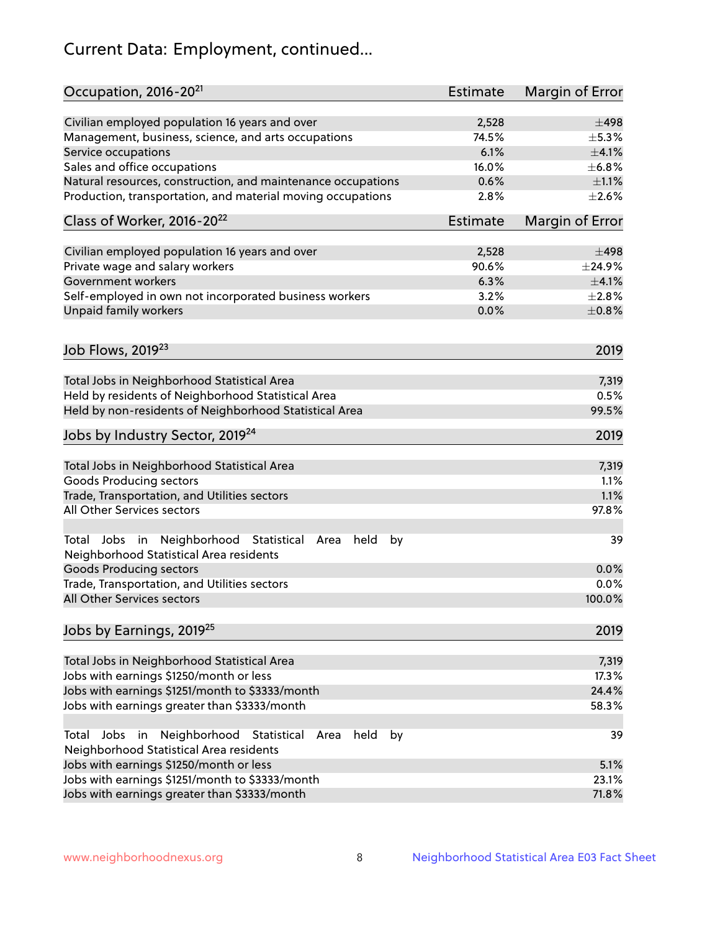# Current Data: Employment, continued...

| Occupation, 2016-20 <sup>21</sup>                                                                       | <b>Estimate</b> | Margin of Error |
|---------------------------------------------------------------------------------------------------------|-----------------|-----------------|
| Civilian employed population 16 years and over                                                          | 2,528           | $\pm$ 498       |
| Management, business, science, and arts occupations                                                     | 74.5%           | $\pm$ 5.3%      |
| Service occupations                                                                                     | 6.1%            | $\pm 4.1\%$     |
| Sales and office occupations                                                                            | 16.0%           | ±6.8%           |
| Natural resources, construction, and maintenance occupations                                            | 0.6%            | $\pm 1.1\%$     |
| Production, transportation, and material moving occupations                                             | 2.8%            | $\pm 2.6\%$     |
| Class of Worker, 2016-20 <sup>22</sup>                                                                  | <b>Estimate</b> | Margin of Error |
| Civilian employed population 16 years and over                                                          | 2,528           | $\pm$ 498       |
| Private wage and salary workers                                                                         | 90.6%           | ±24.9%          |
| Government workers                                                                                      | 6.3%            | $\pm$ 4.1%      |
| Self-employed in own not incorporated business workers                                                  | 3.2%            | ±2.8%           |
| Unpaid family workers                                                                                   | 0.0%            | $\pm 0.8\%$     |
|                                                                                                         |                 |                 |
| Job Flows, 2019 <sup>23</sup>                                                                           |                 | 2019            |
| Total Jobs in Neighborhood Statistical Area                                                             |                 | 7,319           |
| Held by residents of Neighborhood Statistical Area                                                      |                 | 0.5%            |
| Held by non-residents of Neighborhood Statistical Area                                                  |                 | 99.5%           |
| Jobs by Industry Sector, 2019 <sup>24</sup>                                                             |                 | 2019            |
| Total Jobs in Neighborhood Statistical Area                                                             |                 | 7,319           |
| <b>Goods Producing sectors</b>                                                                          |                 | 1.1%            |
| Trade, Transportation, and Utilities sectors                                                            |                 | 1.1%            |
| All Other Services sectors                                                                              |                 | 97.8%           |
| Total Jobs in Neighborhood Statistical<br>held<br>by<br>Area<br>Neighborhood Statistical Area residents |                 | 39              |
| <b>Goods Producing sectors</b>                                                                          |                 | 0.0%            |
| Trade, Transportation, and Utilities sectors                                                            |                 | 0.0%            |
| All Other Services sectors                                                                              |                 | 100.0%          |
| Jobs by Earnings, 2019 <sup>25</sup>                                                                    |                 | 2019            |
| Total Jobs in Neighborhood Statistical Area                                                             |                 | 7,319           |
| Jobs with earnings \$1250/month or less                                                                 |                 | 17.3%           |
| Jobs with earnings \$1251/month to \$3333/month                                                         |                 | 24.4%           |
| Jobs with earnings greater than \$3333/month                                                            |                 | 58.3%           |
| Neighborhood Statistical<br>Jobs<br>in<br>held<br>by<br>Total<br>Area                                   |                 | 39              |
| Neighborhood Statistical Area residents                                                                 |                 |                 |
| Jobs with earnings \$1250/month or less                                                                 |                 | 5.1%            |
| Jobs with earnings \$1251/month to \$3333/month                                                         |                 | 23.1%           |
| Jobs with earnings greater than \$3333/month                                                            |                 | 71.8%           |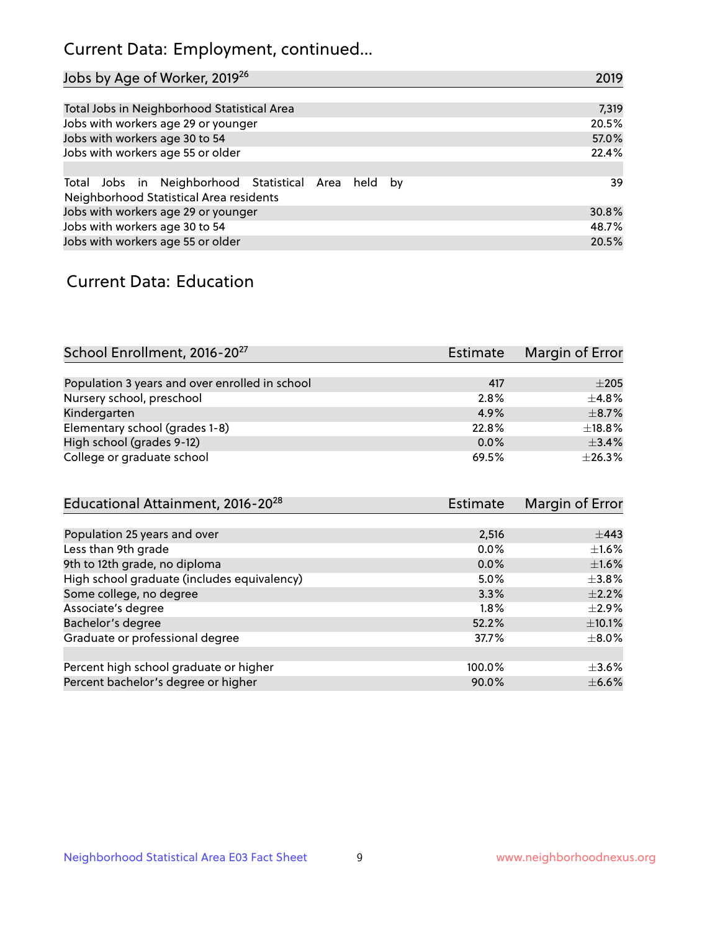# Current Data: Employment, continued...

| Jobs by Age of Worker, 2019 <sup>26</sup>                                                      | 2019  |
|------------------------------------------------------------------------------------------------|-------|
|                                                                                                |       |
| Total Jobs in Neighborhood Statistical Area                                                    | 7,319 |
| Jobs with workers age 29 or younger                                                            | 20.5% |
| Jobs with workers age 30 to 54                                                                 | 57.0% |
| Jobs with workers age 55 or older                                                              | 22.4% |
|                                                                                                |       |
| Total Jobs in Neighborhood Statistical Area held by<br>Neighborhood Statistical Area residents | 39    |
| Jobs with workers age 29 or younger                                                            | 30.8% |
| Jobs with workers age 30 to 54                                                                 | 48.7% |
| Jobs with workers age 55 or older                                                              | 20.5% |

### Current Data: Education

| School Enrollment, 2016-20 <sup>27</sup>       | <b>Estimate</b> | Margin of Error |
|------------------------------------------------|-----------------|-----------------|
|                                                |                 |                 |
| Population 3 years and over enrolled in school | 417             | $\pm 205$       |
| Nursery school, preschool                      | 2.8%            | $\pm$ 4.8%      |
| Kindergarten                                   | 4.9%            | $\pm$ 8.7%      |
| Elementary school (grades 1-8)                 | 22.8%           | $\pm$ 18.8%     |
| High school (grades 9-12)                      | $0.0\%$         | $\pm$ 3.4%      |
| College or graduate school                     | 69.5%           | ±26.3%          |

| Educational Attainment, 2016-20 <sup>28</sup> | <b>Estimate</b> | Margin of Error |
|-----------------------------------------------|-----------------|-----------------|
|                                               |                 |                 |
| Population 25 years and over                  | 2,516           | $\pm$ 443       |
| Less than 9th grade                           | $0.0\%$         | $\pm 1.6\%$     |
| 9th to 12th grade, no diploma                 | $0.0\%$         | $\pm1.6\%$      |
| High school graduate (includes equivalency)   | 5.0%            | $+3.8%$         |
| Some college, no degree                       | 3.3%            | $\pm 2.2\%$     |
| Associate's degree                            | 1.8%            | $\pm 2.9\%$     |
| Bachelor's degree                             | 52.2%           | $\pm$ 10.1%     |
| Graduate or professional degree               | 37.7%           | $\pm$ 8.0%      |
|                                               |                 |                 |
| Percent high school graduate or higher        | 100.0%          | $\pm 3.6\%$     |
| Percent bachelor's degree or higher           | 90.0%           | $\pm$ 6.6%      |
|                                               |                 |                 |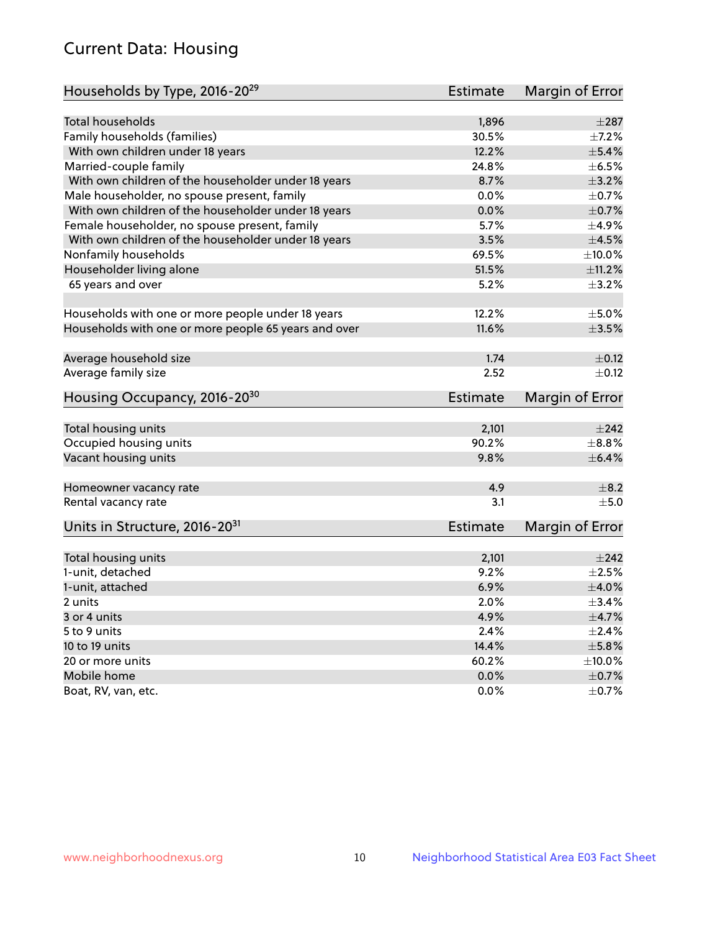# Current Data: Housing

| Households by Type, 2016-20 <sup>29</sup>            | <b>Estimate</b> | Margin of Error |
|------------------------------------------------------|-----------------|-----------------|
|                                                      |                 |                 |
| <b>Total households</b>                              | 1,896           | $\pm 287$       |
| Family households (families)                         | 30.5%           | $\pm$ 7.2%      |
| With own children under 18 years                     | 12.2%           | $\pm$ 5.4%      |
| Married-couple family                                | 24.8%           | $\pm$ 6.5%      |
| With own children of the householder under 18 years  | 8.7%            | $\pm$ 3.2%      |
| Male householder, no spouse present, family          | 0.0%            | $\pm$ 0.7%      |
| With own children of the householder under 18 years  | 0.0%            | $\pm$ 0.7%      |
| Female householder, no spouse present, family        | 5.7%            | $\pm$ 4.9%      |
| With own children of the householder under 18 years  | 3.5%            | $\pm 4.5\%$     |
| Nonfamily households                                 | 69.5%           | $\pm$ 10.0%     |
| Householder living alone                             | 51.5%           | $\pm$ 11.2%     |
| 65 years and over                                    | 5.2%            | $\pm$ 3.2%      |
|                                                      |                 |                 |
| Households with one or more people under 18 years    | 12.2%           | $\pm$ 5.0%      |
| Households with one or more people 65 years and over | 11.6%           | $\pm 3.5\%$     |
|                                                      | 1.74            | $\pm$ 0.12      |
| Average household size                               |                 |                 |
| Average family size                                  | 2.52            | $\pm$ 0.12      |
| Housing Occupancy, 2016-20 <sup>30</sup>             | <b>Estimate</b> | Margin of Error |
| Total housing units                                  | 2,101           | $\pm 242$       |
| Occupied housing units                               | 90.2%           | $\pm$ 8.8%      |
| Vacant housing units                                 | 9.8%            | $\pm$ 6.4%      |
|                                                      |                 |                 |
| Homeowner vacancy rate                               | 4.9             | $\pm$ 8.2       |
| Rental vacancy rate                                  | 3.1             | ±5.0            |
| Units in Structure, 2016-20 <sup>31</sup>            | <b>Estimate</b> | Margin of Error |
|                                                      |                 |                 |
| Total housing units                                  | 2,101           | $\pm 242$       |
| 1-unit, detached                                     | 9.2%            | $\pm 2.5\%$     |
| 1-unit, attached                                     | 6.9%            | $\pm 4.0\%$     |
| 2 units                                              | 2.0%            | $\pm$ 3.4%      |
| 3 or 4 units                                         | 4.9%            | $\pm$ 4.7%      |
| 5 to 9 units                                         | 2.4%            | $\pm 2.4\%$     |
| 10 to 19 units                                       | 14.4%           | $\pm$ 5.8%      |
| 20 or more units                                     | 60.2%           | $\pm 10.0\%$    |
| Mobile home                                          | 0.0%            | $\pm$ 0.7%      |
| Boat, RV, van, etc.                                  | 0.0%            | $\pm$ 0.7%      |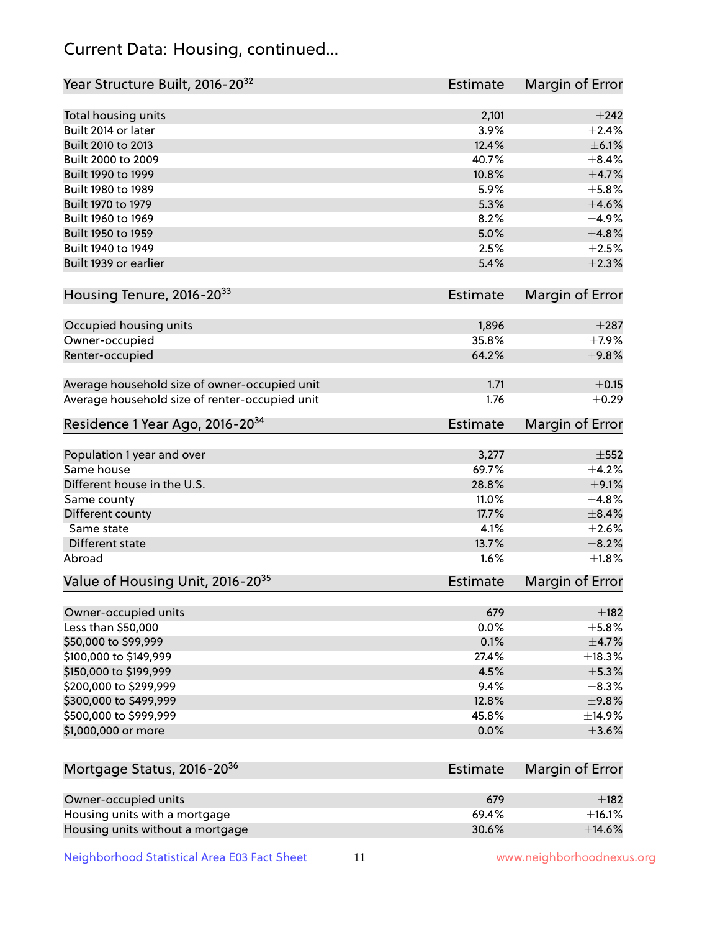# Current Data: Housing, continued...

| Year Structure Built, 2016-20 <sup>32</sup>    | <b>Estimate</b> | Margin of Error |
|------------------------------------------------|-----------------|-----------------|
| Total housing units                            | 2,101           | $\pm$ 242       |
| Built 2014 or later                            | 3.9%            | $\pm 2.4\%$     |
| Built 2010 to 2013                             | 12.4%           | $\pm$ 6.1%      |
| Built 2000 to 2009                             | 40.7%           | $\pm$ 8.4%      |
| Built 1990 to 1999                             | 10.8%           | $\pm$ 4.7%      |
| Built 1980 to 1989                             | 5.9%            | $\pm$ 5.8%      |
| Built 1970 to 1979                             | 5.3%            | $\pm 4.6\%$     |
| Built 1960 to 1969                             | 8.2%            | $\pm$ 4.9%      |
| Built 1950 to 1959                             | 5.0%            | ±4.8%           |
| Built 1940 to 1949                             | 2.5%            | $\pm 2.5\%$     |
| Built 1939 or earlier                          | 5.4%            | $\pm 2.3\%$     |
| Housing Tenure, 2016-2033                      | Estimate        | Margin of Error |
|                                                |                 |                 |
| Occupied housing units                         | 1,896           | $\pm 287$       |
| Owner-occupied                                 | 35.8%           | $\pm$ 7.9%      |
| Renter-occupied                                | 64.2%           | $\pm$ 9.8%      |
| Average household size of owner-occupied unit  | 1.71            | $\pm$ 0.15      |
| Average household size of renter-occupied unit | 1.76            | $\pm$ 0.29      |
| Residence 1 Year Ago, 2016-20 <sup>34</sup>    | <b>Estimate</b> | Margin of Error |
|                                                |                 | $\pm$ 552       |
| Population 1 year and over<br>Same house       | 3,277<br>69.7%  | $\pm$ 4.2%      |
| Different house in the U.S.                    | 28.8%           | $\pm$ 9.1%      |
| Same county                                    | 11.0%           | ±4.8%           |
| Different county                               | 17.7%           | $\pm$ 8.4%      |
| Same state                                     | 4.1%            | $\pm 2.6\%$     |
| Different state                                | 13.7%           | $\pm$ 8.2%      |
| Abroad                                         | 1.6%            | $\pm1.8\%$      |
|                                                |                 |                 |
| Value of Housing Unit, 2016-20 <sup>35</sup>   | <b>Estimate</b> | Margin of Error |
| Owner-occupied units                           | 679             | $\pm$ 182       |
| Less than \$50,000                             | 0.0%            | $\pm$ 5.8%      |
| \$50,000 to \$99,999                           | 0.1%            | $\pm$ 4.7%      |
| \$100,000 to \$149,999                         | 27.4%           | ±18.3%          |
| \$150,000 to \$199,999                         | 4.5%            | $\pm$ 5.3%      |
| \$200,000 to \$299,999                         | 9.4%            | $\pm$ 8.3%      |
| \$300,000 to \$499,999                         | 12.8%           | ±9.8%           |
| \$500,000 to \$999,999                         | 45.8%           | ±14.9%          |
| \$1,000,000 or more                            | 0.0%            | $\pm 3.6\%$     |
|                                                |                 |                 |
| Mortgage Status, 2016-20 <sup>36</sup>         | <b>Estimate</b> | Margin of Error |
| Owner-occupied units                           | 679             | $\pm$ 182       |
| Housing units with a mortgage                  | 69.4%           | $\pm$ 16.1%     |
| Housing units without a mortgage               | 30.6%           | $\pm$ 14.6%     |

Neighborhood Statistical Area E03 Fact Sheet 11 11 www.neighborhoodnexus.org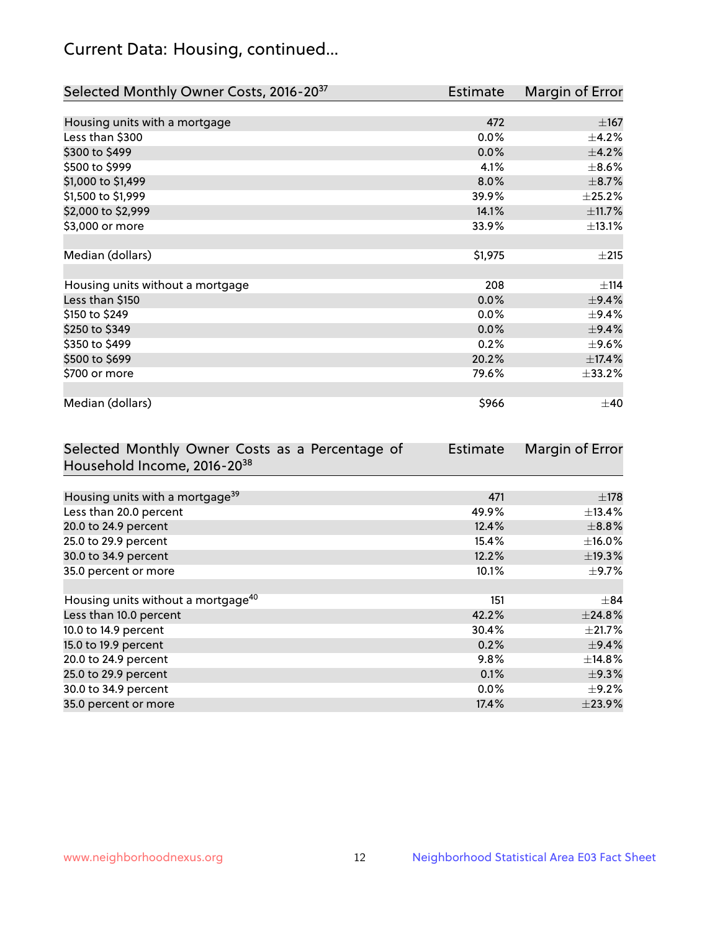# Current Data: Housing, continued...

| Selected Monthly Owner Costs, 2016-20 <sup>37</sup> | Estimate | Margin of Error |
|-----------------------------------------------------|----------|-----------------|
|                                                     |          |                 |
| Housing units with a mortgage                       | 472      | $\pm 167$       |
| Less than \$300                                     | 0.0%     | $\pm$ 4.2%      |
| \$300 to \$499                                      | 0.0%     | ±4.2%           |
| \$500 to \$999                                      | 4.1%     | $\pm$ 8.6%      |
| \$1,000 to \$1,499                                  | 8.0%     | $\pm$ 8.7%      |
| \$1,500 to \$1,999                                  | 39.9%    | $\pm 25.2\%$    |
| \$2,000 to \$2,999                                  | 14.1%    | ±11.7%          |
| \$3,000 or more                                     | 33.9%    | ±13.1%          |
|                                                     |          |                 |
| Median (dollars)                                    | \$1,975  | ±215            |
|                                                     |          |                 |
| Housing units without a mortgage                    | 208      | ±114            |
| Less than \$150                                     | 0.0%     | ±9.4%           |
| \$150 to \$249                                      | 0.0%     | $\pm$ 9.4%      |
| \$250 to \$349                                      | 0.0%     | ±9.4%           |
| \$350 to \$499                                      | 0.2%     | $\pm$ 9.6%      |
| \$500 to \$699                                      | 20.2%    | ±17.4%          |
| \$700 or more                                       | 79.6%    | ±33.2%          |
|                                                     |          |                 |
| Median (dollars)                                    | \$966    | $\pm 40$        |

| Selected Monthly Owner Costs as a Percentage of | <b>Estimate</b> | Margin of Error |
|-------------------------------------------------|-----------------|-----------------|
| Household Income, 2016-20 <sup>38</sup>         |                 |                 |
|                                                 |                 |                 |
| Housing units with a mortgage <sup>39</sup>     | 471             | $\pm$ 178       |
| Less than 20.0 percent                          | 49.9%           | $\pm$ 13.4%     |
| 20.0 to 24.9 percent                            | 12.4%           | $\pm$ 8.8%      |
| 25.0 to 29.9 percent                            | 15.4%           | $\pm$ 16.0%     |
| 30.0 to 34.9 percent                            | 12.2%           | ±19.3%          |
| 35.0 percent or more                            | 10.1%           | $\pm$ 9.7%      |
|                                                 |                 |                 |
| Housing units without a mortgage <sup>40</sup>  | 151             | $\pm$ 84        |
| Less than 10.0 percent                          | 42.2%           | ±24.8%          |
| 10.0 to 14.9 percent                            | 30.4%           | $\pm$ 21.7%     |
| 15.0 to 19.9 percent                            | 0.2%            | $\pm$ 9.4%      |
| 20.0 to 24.9 percent                            | 9.8%            | $\pm$ 14.8%     |
| 25.0 to 29.9 percent                            | 0.1%            | $\pm$ 9.3%      |
| 30.0 to 34.9 percent                            | $0.0\%$         | $\pm$ 9.2%      |
| 35.0 percent or more                            | 17.4%           | $\pm 23.9\%$    |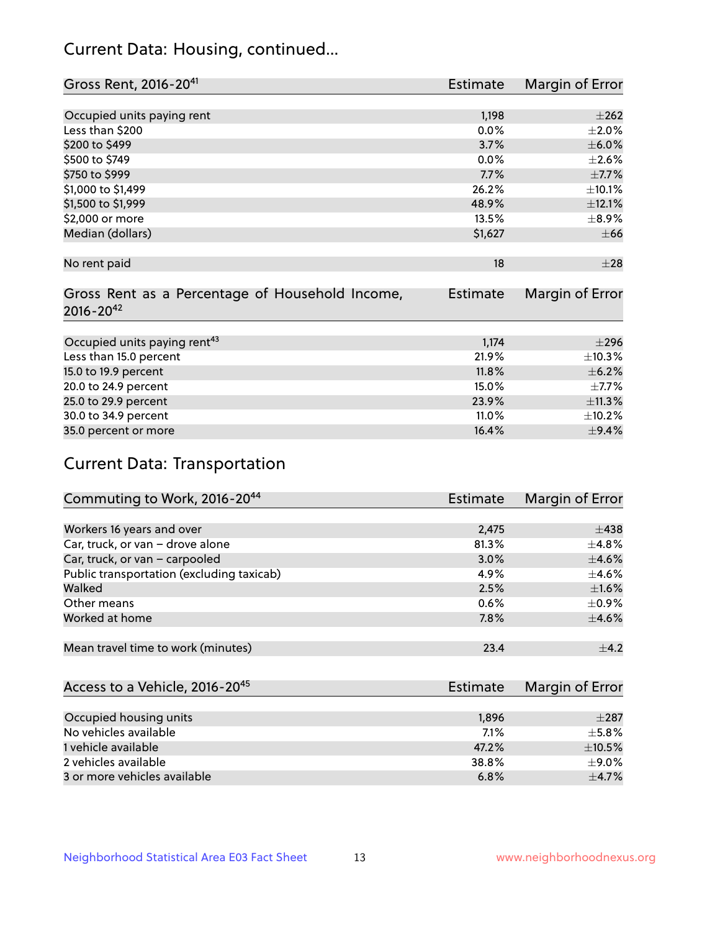# Current Data: Housing, continued...

| Gross Rent, 2016-20 <sup>41</sup>               | <b>Estimate</b> | Margin of Error |
|-------------------------------------------------|-----------------|-----------------|
|                                                 |                 |                 |
| Occupied units paying rent                      | 1,198           | $\pm 262$       |
| Less than \$200                                 | 0.0%            | $\pm 2.0\%$     |
| \$200 to \$499                                  | 3.7%            | $\pm$ 6.0%      |
| \$500 to \$749                                  | $0.0\%$         | $\pm 2.6\%$     |
| \$750 to \$999                                  | 7.7%            | $\pm$ 7.7%      |
| \$1,000 to \$1,499                              | 26.2%           | ±10.1%          |
| \$1,500 to \$1,999                              | 48.9%           | ±12.1%          |
| \$2,000 or more                                 | 13.5%           | $\pm$ 8.9%      |
| Median (dollars)                                | \$1,627         | $\pm$ 66        |
|                                                 |                 |                 |
| No rent paid                                    | 18              | $\pm 28$        |
|                                                 |                 |                 |
| Gross Rent as a Percentage of Household Income, | <b>Estimate</b> | Margin of Error |
| $2016 - 20^{42}$                                |                 |                 |
|                                                 |                 |                 |
| Occupied units paying rent <sup>43</sup>        | 1,174           | $\pm 296$       |
| Less than 15.0 percent                          | 21.9%           | ±10.3%          |
| 15.0 to 19.9 percent                            | 11.8%           | $\pm$ 6.2%      |
| 20.0 to 24.9 percent                            | 15.0%           | $\pm$ 7.7%      |
| 25.0 to 29.9 percent                            | 23.9%           | ±11.3%          |
| 30.0 to 34.9 percent                            | 11.0%           | ±10.2%          |
| 35.0 percent or more                            | 16.4%           | $\pm$ 9.4%      |

# Current Data: Transportation

| Commuting to Work, 2016-20 <sup>44</sup>  | <b>Estimate</b> | Margin of Error |
|-------------------------------------------|-----------------|-----------------|
|                                           |                 |                 |
| Workers 16 years and over                 | 2,475           | $\pm$ 438       |
| Car, truck, or van - drove alone          | 81.3%           | $\pm$ 4.8%      |
| Car, truck, or van - carpooled            | 3.0%            | $\pm$ 4.6%      |
| Public transportation (excluding taxicab) | 4.9%            | $\pm$ 4.6%      |
| Walked                                    | 2.5%            | $\pm1.6\%$      |
| Other means                               | 0.6%            | $\pm$ 0.9%      |
| Worked at home                            | 7.8%            | $\pm$ 4.6%      |
|                                           |                 |                 |
| Mean travel time to work (minutes)        | 23.4            | $\pm$ 4.2       |

| Access to a Vehicle, 2016-20 <sup>45</sup> | Estimate | Margin of Error |
|--------------------------------------------|----------|-----------------|
|                                            |          |                 |
| Occupied housing units                     | 1,896    | $\pm 287$       |
| No vehicles available                      | 7.1%     | $+5.8%$         |
| 1 vehicle available                        | 47.2%    | $\pm$ 10.5%     |
| 2 vehicles available                       | 38.8%    | ±9.0%           |
| 3 or more vehicles available               | 6.8%     | $\pm$ 4.7%      |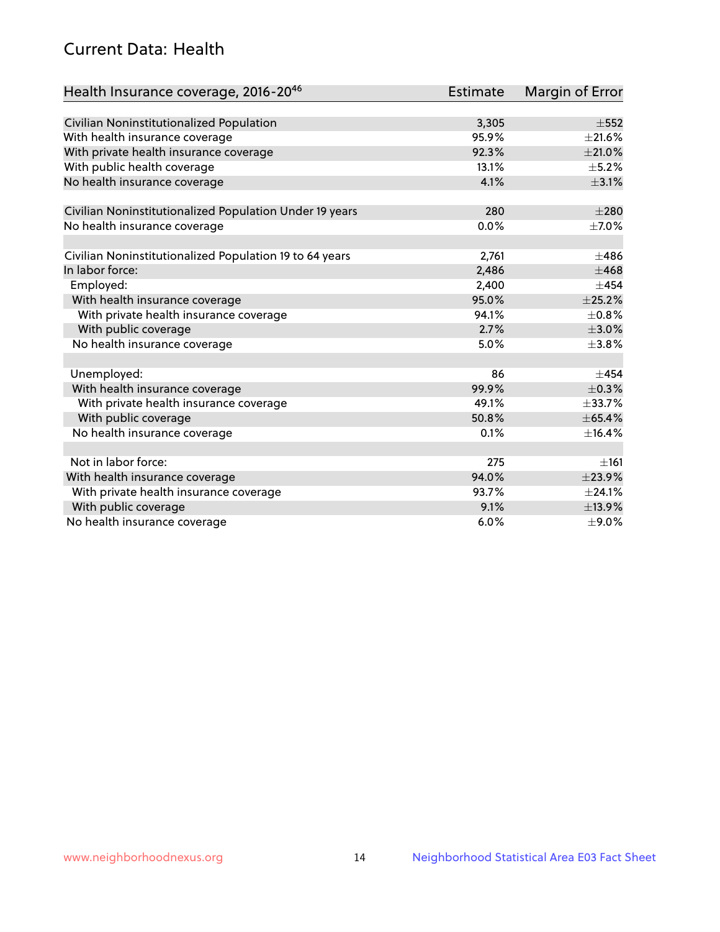# Current Data: Health

| Health Insurance coverage, 2016-2046                    | <b>Estimate</b> | <b>Margin of Error</b> |
|---------------------------------------------------------|-----------------|------------------------|
|                                                         |                 |                        |
| Civilian Noninstitutionalized Population                | 3,305           | $\pm$ 552              |
| With health insurance coverage                          | 95.9%           | $\pm 21.6\%$           |
| With private health insurance coverage                  | 92.3%           | $\pm 21.0\%$           |
| With public health coverage                             | 13.1%           | $\pm$ 5.2%             |
| No health insurance coverage                            | 4.1%            | $\pm$ 3.1%             |
| Civilian Noninstitutionalized Population Under 19 years | 280             | $\pm 280$              |
| No health insurance coverage                            | 0.0%            | $\pm$ 7.0%             |
|                                                         |                 |                        |
| Civilian Noninstitutionalized Population 19 to 64 years | 2,761           | $\pm 486$              |
| In labor force:                                         | 2,486           | $\pm 468$              |
| Employed:                                               | 2,400           | $+454$                 |
| With health insurance coverage                          | 95.0%           | $\pm 25.2\%$           |
| With private health insurance coverage                  | 94.1%           | $\pm$ 0.8%             |
| With public coverage                                    | 2.7%            | $\pm 3.0\%$            |
| No health insurance coverage                            | 5.0%            | ±3.8%                  |
|                                                         |                 |                        |
| Unemployed:                                             | 86              | $+454$                 |
| With health insurance coverage                          | 99.9%           | $\pm$ 0.3%             |
| With private health insurance coverage                  | 49.1%           | $\pm$ 33.7%            |
| With public coverage                                    | 50.8%           | $\pm 65.4\%$           |
| No health insurance coverage                            | 0.1%            | ±16.4%                 |
|                                                         |                 |                        |
| Not in labor force:                                     | 275             | ±161                   |
| With health insurance coverage                          | 94.0%           | ±23.9%                 |
| With private health insurance coverage                  | 93.7%           | ±24.1%                 |
| With public coverage                                    | 9.1%            | ±13.9%                 |
| No health insurance coverage                            | 6.0%            | $\pm$ 9.0%             |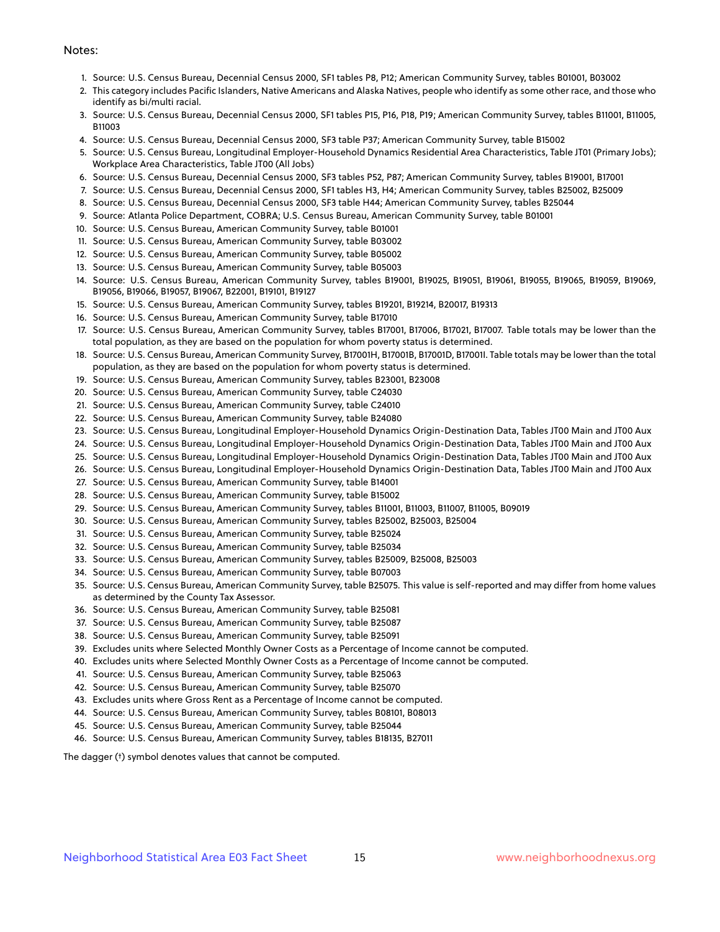#### Notes:

- 1. Source: U.S. Census Bureau, Decennial Census 2000, SF1 tables P8, P12; American Community Survey, tables B01001, B03002
- 2. This category includes Pacific Islanders, Native Americans and Alaska Natives, people who identify as some other race, and those who identify as bi/multi racial.
- 3. Source: U.S. Census Bureau, Decennial Census 2000, SF1 tables P15, P16, P18, P19; American Community Survey, tables B11001, B11005, B11003
- 4. Source: U.S. Census Bureau, Decennial Census 2000, SF3 table P37; American Community Survey, table B15002
- 5. Source: U.S. Census Bureau, Longitudinal Employer-Household Dynamics Residential Area Characteristics, Table JT01 (Primary Jobs); Workplace Area Characteristics, Table JT00 (All Jobs)
- 6. Source: U.S. Census Bureau, Decennial Census 2000, SF3 tables P52, P87; American Community Survey, tables B19001, B17001
- 7. Source: U.S. Census Bureau, Decennial Census 2000, SF1 tables H3, H4; American Community Survey, tables B25002, B25009
- 8. Source: U.S. Census Bureau, Decennial Census 2000, SF3 table H44; American Community Survey, tables B25044
- 9. Source: Atlanta Police Department, COBRA; U.S. Census Bureau, American Community Survey, table B01001
- 10. Source: U.S. Census Bureau, American Community Survey, table B01001
- 11. Source: U.S. Census Bureau, American Community Survey, table B03002
- 12. Source: U.S. Census Bureau, American Community Survey, table B05002
- 13. Source: U.S. Census Bureau, American Community Survey, table B05003
- 14. Source: U.S. Census Bureau, American Community Survey, tables B19001, B19025, B19051, B19061, B19055, B19065, B19059, B19069, B19056, B19066, B19057, B19067, B22001, B19101, B19127
- 15. Source: U.S. Census Bureau, American Community Survey, tables B19201, B19214, B20017, B19313
- 16. Source: U.S. Census Bureau, American Community Survey, table B17010
- 17. Source: U.S. Census Bureau, American Community Survey, tables B17001, B17006, B17021, B17007. Table totals may be lower than the total population, as they are based on the population for whom poverty status is determined.
- 18. Source: U.S. Census Bureau, American Community Survey, B17001H, B17001B, B17001D, B17001I. Table totals may be lower than the total population, as they are based on the population for whom poverty status is determined.
- 19. Source: U.S. Census Bureau, American Community Survey, tables B23001, B23008
- 20. Source: U.S. Census Bureau, American Community Survey, table C24030
- 21. Source: U.S. Census Bureau, American Community Survey, table C24010
- 22. Source: U.S. Census Bureau, American Community Survey, table B24080
- 23. Source: U.S. Census Bureau, Longitudinal Employer-Household Dynamics Origin-Destination Data, Tables JT00 Main and JT00 Aux
- 24. Source: U.S. Census Bureau, Longitudinal Employer-Household Dynamics Origin-Destination Data, Tables JT00 Main and JT00 Aux
- 25. Source: U.S. Census Bureau, Longitudinal Employer-Household Dynamics Origin-Destination Data, Tables JT00 Main and JT00 Aux
- 26. Source: U.S. Census Bureau, Longitudinal Employer-Household Dynamics Origin-Destination Data, Tables JT00 Main and JT00 Aux
- 27. Source: U.S. Census Bureau, American Community Survey, table B14001
- 28. Source: U.S. Census Bureau, American Community Survey, table B15002
- 29. Source: U.S. Census Bureau, American Community Survey, tables B11001, B11003, B11007, B11005, B09019
- 30. Source: U.S. Census Bureau, American Community Survey, tables B25002, B25003, B25004
- 31. Source: U.S. Census Bureau, American Community Survey, table B25024
- 32. Source: U.S. Census Bureau, American Community Survey, table B25034
- 33. Source: U.S. Census Bureau, American Community Survey, tables B25009, B25008, B25003
- 34. Source: U.S. Census Bureau, American Community Survey, table B07003
- 35. Source: U.S. Census Bureau, American Community Survey, table B25075. This value is self-reported and may differ from home values as determined by the County Tax Assessor.
- 36. Source: U.S. Census Bureau, American Community Survey, table B25081
- 37. Source: U.S. Census Bureau, American Community Survey, table B25087
- 38. Source: U.S. Census Bureau, American Community Survey, table B25091
- 39. Excludes units where Selected Monthly Owner Costs as a Percentage of Income cannot be computed.
- 40. Excludes units where Selected Monthly Owner Costs as a Percentage of Income cannot be computed.
- 41. Source: U.S. Census Bureau, American Community Survey, table B25063
- 42. Source: U.S. Census Bureau, American Community Survey, table B25070
- 43. Excludes units where Gross Rent as a Percentage of Income cannot be computed.
- 44. Source: U.S. Census Bureau, American Community Survey, tables B08101, B08013
- 45. Source: U.S. Census Bureau, American Community Survey, table B25044
- 46. Source: U.S. Census Bureau, American Community Survey, tables B18135, B27011

The dagger (†) symbol denotes values that cannot be computed.